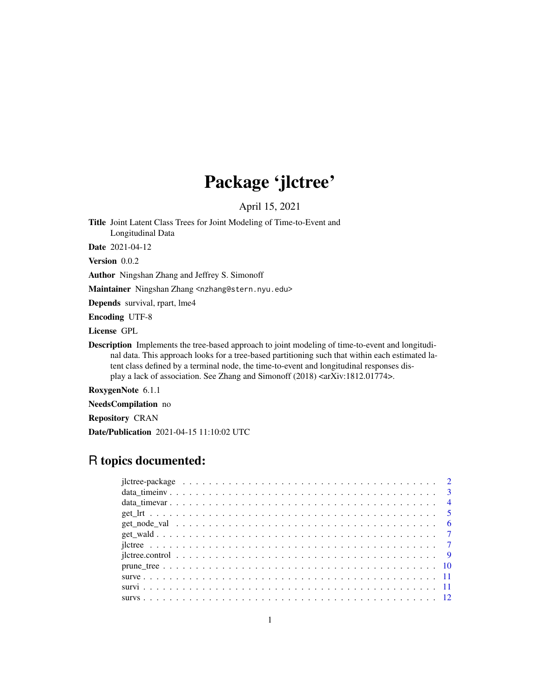## Package 'jlctree'

April 15, 2021

<span id="page-0-0"></span>Title Joint Latent Class Trees for Joint Modeling of Time-to-Event and Longitudinal Data

Date 2021-04-12

Version 0.0.2

Author Ningshan Zhang and Jeffrey S. Simonoff

Maintainer Ningshan Zhang <nzhang@stern.nyu.edu>

Depends survival, rpart, lme4

Encoding UTF-8

License GPL

Description Implements the tree-based approach to joint modeling of time-to-event and longitudinal data. This approach looks for a tree-based partitioning such that within each estimated latent class defined by a terminal node, the time-to-event and longitudinal responses display a lack of association. See Zhang and Simonoff (2018) <arXiv:1812.01774>.

RoxygenNote 6.1.1

NeedsCompilation no

Repository CRAN

Date/Publication 2021-04-15 11:10:02 UTC

## R topics documented: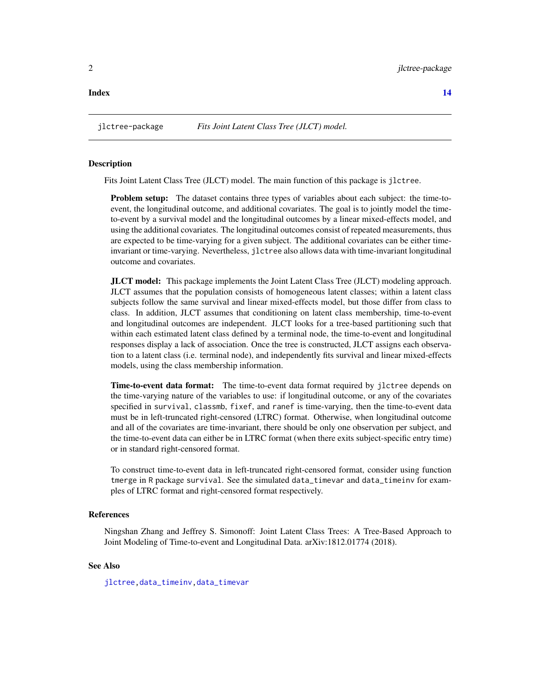<span id="page-1-1"></span><span id="page-1-0"></span>jlctree-package *Fits Joint Latent Class Tree (JLCT) model.*

#### Description

Fits Joint Latent Class Tree (JLCT) model. The main function of this package is jlctree.

Problem setup: The dataset contains three types of variables about each subject: the time-toevent, the longitudinal outcome, and additional covariates. The goal is to jointly model the timeto-event by a survival model and the longitudinal outcomes by a linear mixed-effects model, and using the additional covariates. The longitudinal outcomes consist of repeated measurements, thus are expected to be time-varying for a given subject. The additional covariates can be either timeinvariant or time-varying. Nevertheless, jlctree also allows data with time-invariant longitudinal outcome and covariates.

JLCT model: This package implements the Joint Latent Class Tree (JLCT) modeling approach. JLCT assumes that the population consists of homogeneous latent classes; within a latent class subjects follow the same survival and linear mixed-effects model, but those differ from class to class. In addition, JLCT assumes that conditioning on latent class membership, time-to-event and longitudinal outcomes are independent. JLCT looks for a tree-based partitioning such that within each estimated latent class defined by a terminal node, the time-to-event and longitudinal responses display a lack of association. Once the tree is constructed, JLCT assigns each observation to a latent class (i.e. terminal node), and independently fits survival and linear mixed-effects models, using the class membership information.

Time-to-event data format: The time-to-event data format required by jlctree depends on the time-varying nature of the variables to use: if longitudinal outcome, or any of the covariates specified in survival, classmb, fixef, and ranef is time-varying, then the time-to-event data must be in left-truncated right-censored (LTRC) format. Otherwise, when longitudinal outcome and all of the covariates are time-invariant, there should be only one observation per subject, and the time-to-event data can either be in LTRC format (when there exits subject-specific entry time) or in standard right-censored format.

To construct time-to-event data in left-truncated right-censored format, consider using function tmerge in R package survival. See the simulated data\_timevar and data\_timeinv for examples of LTRC format and right-censored format respectively.

#### References

Ningshan Zhang and Jeffrey S. Simonoff: Joint Latent Class Trees: A Tree-Based Approach to Joint Modeling of Time-to-event and Longitudinal Data. arXiv:1812.01774 (2018).

## See Also

[jlctree](#page-6-1)[,data\\_timeinv,](#page-2-1)[data\\_timevar](#page-3-1)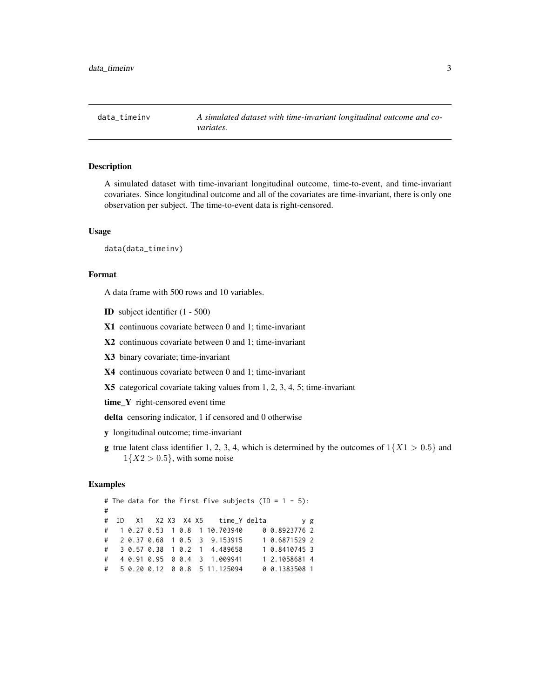<span id="page-2-1"></span><span id="page-2-0"></span>data\_timeinv *A simulated dataset with time-invariant longitudinal outcome and covariates.*

## Description

A simulated dataset with time-invariant longitudinal outcome, time-to-event, and time-invariant covariates. Since longitudinal outcome and all of the covariates are time-invariant, there is only one observation per subject. The time-to-event data is right-censored.

#### Usage

data(data\_timeinv)

#### Format

A data frame with 500 rows and 10 variables.

ID subject identifier (1 - 500)

X1 continuous covariate between 0 and 1; time-invariant

X2 continuous covariate between 0 and 1; time-invariant

X3 binary covariate; time-invariant

X4 continuous covariate between 0 and 1; time-invariant

X5 categorical covariate taking values from 1, 2, 3, 4, 5; time-invariant

time\_Y right-censored event time

delta censoring indicator, 1 if censored and 0 otherwise

y longitudinal outcome; time-invariant

**g** true latent class identifier 1, 2, 3, 4, which is determined by the outcomes of  $1\{X1 > 0.5\}$  and  $1\{X2 > 0.5\}$ , with some noise

## Examples

# The data for the first five subjects (ID =  $1 - 5$ ): # # ID X1 X2 X3 X4 X5 time\_Y delta y g # 1 0.27 0.53 1 0.8 1 10.703940 0 0.8923776 2 # 2 0.37 0.68 1 0.5 3 9.153915 1 0.6871529 2 # 3 0.57 0.38 1 0.2 1 4.489658 1 0.8410745 3 # 4 0.91 0.95 0 0.4 3 1.009941 1 2.1058681 4 # 5 0.20 0.12 0 0.8 5 11.125094 0 0.1383508 1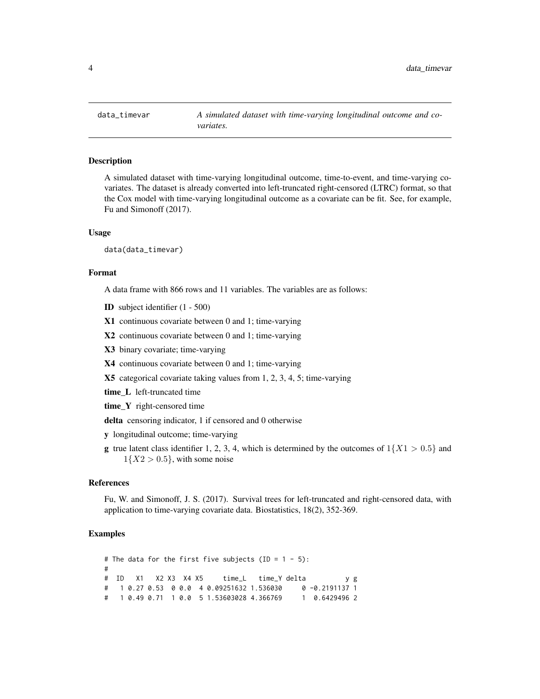<span id="page-3-1"></span><span id="page-3-0"></span>

A simulated dataset with time-varying longitudinal outcome, time-to-event, and time-varying covariates. The dataset is already converted into left-truncated right-censored (LTRC) format, so that the Cox model with time-varying longitudinal outcome as a covariate can be fit. See, for example, Fu and Simonoff (2017).

#### Usage

data(data\_timevar)

#### Format

A data frame with 866 rows and 11 variables. The variables are as follows:

ID subject identifier (1 - 500)

X1 continuous covariate between 0 and 1; time-varying

- X2 continuous covariate between 0 and 1; time-varying
- X3 binary covariate; time-varying
- X4 continuous covariate between 0 and 1; time-varying

X5 categorical covariate taking values from 1, 2, 3, 4, 5; time-varying

- time\_L left-truncated time
- time\_Y right-censored time

delta censoring indicator, 1 if censored and 0 otherwise

- y longitudinal outcome; time-varying
- **g** true latent class identifier 1, 2, 3, 4, which is determined by the outcomes of  $1\{X1 > 0.5\}$  and  $1\{X2 > 0.5\}$ , with some noise

#### References

Fu, W. and Simonoff, J. S. (2017). Survival trees for left-truncated and right-censored data, with application to time-varying covariate data. Biostatistics, 18(2), 352-369.

#### Examples

# The data for the first five subjects (ID =  $1 - 5$ ): # # ID X1 X2 X3 X4 X5 time\_L time\_Y delta y g # 1 0.27 0.53 0 0.0 4 0.09251632 1.536030 0 -0.2191137 1 # 1 0.49 0.71 1 0.0 5 1.53603028 4.366769 1 0.6429496 2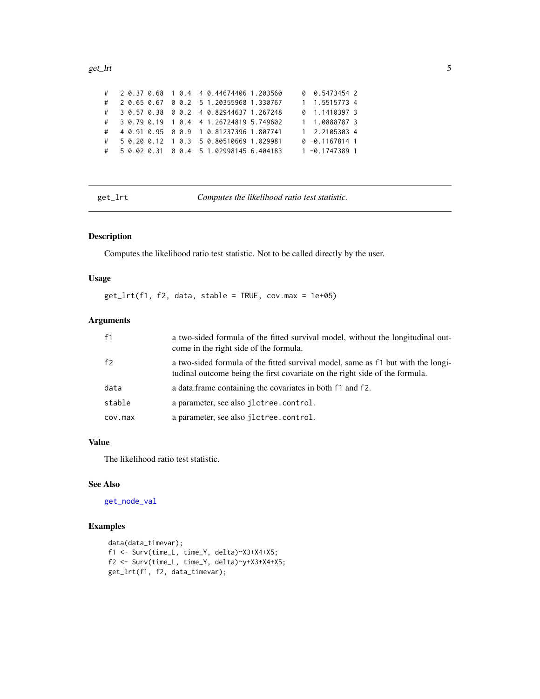#### <span id="page-4-0"></span>get\_lrt 5

|   |  |  | # 2 0.37 0.68 1 0.4 4 0.44674406 1.203560 |  | 0 0.5473454 2     |  |
|---|--|--|-------------------------------------------|--|-------------------|--|
| # |  |  | 2 0.65 0.67 0 0.2 5 1.20355968 1.330767   |  | 1 1.5515773 4     |  |
|   |  |  | # 3 0.57 0.38 0 0.2 4 0.82944637 1.267248 |  | 0 1.1410397 3     |  |
|   |  |  | # 3 0.79 0.19 1 0.4 4 1.26724819 5.749602 |  | 1 1.0888787 3     |  |
| # |  |  | 4 0.91 0.95 0 0.9 1 0.81237396 1.807741   |  | 1 2.2105303 4     |  |
| # |  |  | 5 0.20 0.12 1 0.3 5 0.80510669 1.029981   |  | $0 - 0.1167814$ 1 |  |
|   |  |  | # 5 0.02 0.31 0 0.4 5 1.02998145 6.404183 |  | $1 - 0.17473891$  |  |

<span id="page-4-1"></span>get\_lrt *Computes the likelihood ratio test statistic.*

## Description

Computes the likelihood ratio test statistic. Not to be called directly by the user.

## Usage

 $get_lrt(f1, f2, data, stable = TRUE, cov.max = 1e+05)$ 

## Arguments

| f1             | a two-sided formula of the fitted survival model, without the longitudinal out-<br>come in the right side of the formula.                                       |
|----------------|-----------------------------------------------------------------------------------------------------------------------------------------------------------------|
| f <sub>2</sub> | a two-sided formula of the fitted survival model, same as f1 but with the longi-<br>tudinal outcome being the first covariate on the right side of the formula. |
| data           | a data. frame containing the covariates in both f1 and f2.                                                                                                      |
| stable         | a parameter, see also jlctree.control.                                                                                                                          |
| cov.max        | a parameter, see also jlctree.control.                                                                                                                          |

## Value

The likelihood ratio test statistic.

## See Also

[get\\_node\\_val](#page-5-1)

## Examples

```
data(data_timevar);
f1 <- Surv(time_L, time_Y, delta)~X3+X4+X5;
f2 <- Surv(time_L, time_Y, delta)~y+X3+X4+X5;
get_lrt(f1, f2, data_timevar);
```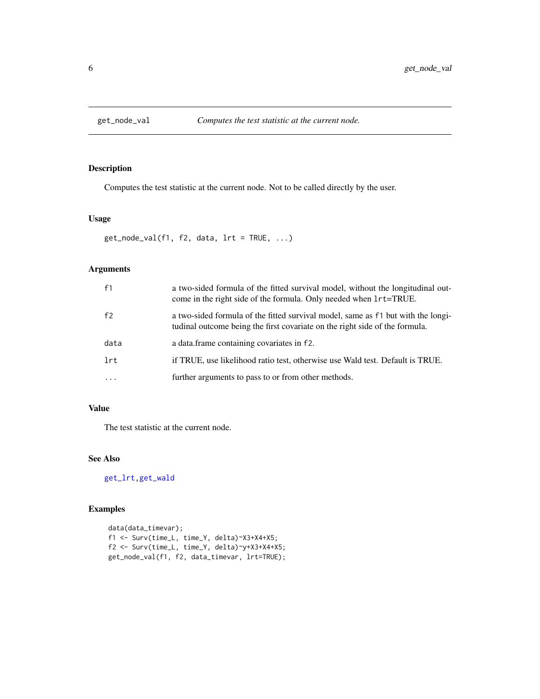<span id="page-5-1"></span><span id="page-5-0"></span>

Computes the test statistic at the current node. Not to be called directly by the user.

## Usage

```
get\_node\_val(f1, f2, data, lrt = TRUE, ...)
```
## Arguments

| f1       | a two-sided formula of the fitted survival model, without the longitudinal out-<br>come in the right side of the formula. Only needed when $lrt = TRUE$ .       |
|----------|-----------------------------------------------------------------------------------------------------------------------------------------------------------------|
| f2       | a two-sided formula of the fitted survival model, same as f1 but with the longi-<br>tudinal outcome being the first covariate on the right side of the formula. |
| data     | a data.frame containing covariates in f2.                                                                                                                       |
| lrt      | if TRUE, use likelihood ratio test, otherwise use Wald test. Default is TRUE.                                                                                   |
| $\cdots$ | further arguments to pass to or from other methods.                                                                                                             |

## Value

The test statistic at the current node.

## See Also

[get\\_lrt](#page-4-1)[,get\\_wald](#page-6-2)

## Examples

```
data(data_timevar);
f1 <- Surv(time_L, time_Y, delta)~X3+X4+X5;
f2 <- Surv(time_L, time_Y, delta)~y+X3+X4+X5;
get_node_val(f1, f2, data_timevar, lrt=TRUE);
```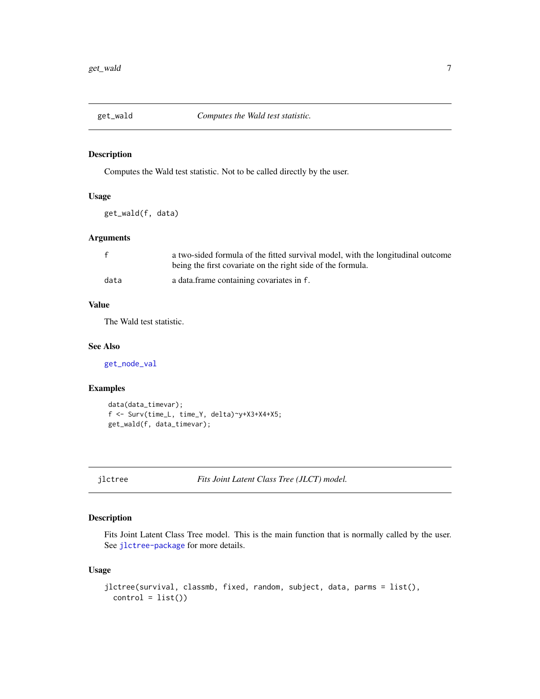<span id="page-6-2"></span><span id="page-6-0"></span>

Computes the Wald test statistic. Not to be called directly by the user.

## Usage

get\_wald(f, data)

## Arguments

| f    | a two-sided formula of the fitted survival model, with the longitudinal outcome |
|------|---------------------------------------------------------------------------------|
|      | being the first covariate on the right side of the formula.                     |
| data | a data frame containing covariates in f.                                        |

## Value

The Wald test statistic.

#### See Also

[get\\_node\\_val](#page-5-1)

## Examples

```
data(data_timevar);
f <- Surv(time_L, time_Y, delta)~y+X3+X4+X5;
get_wald(f, data_timevar);
```

```
jlctree Fits Joint Latent Class Tree (JLCT) model.
```
## Description

Fits Joint Latent Class Tree model. This is the main function that is normally called by the user. See [jlctree-package](#page-1-1) for more details.

#### Usage

```
jlctree(survival, classmb, fixed, random, subject, data, parms = list(),
 control = list()
```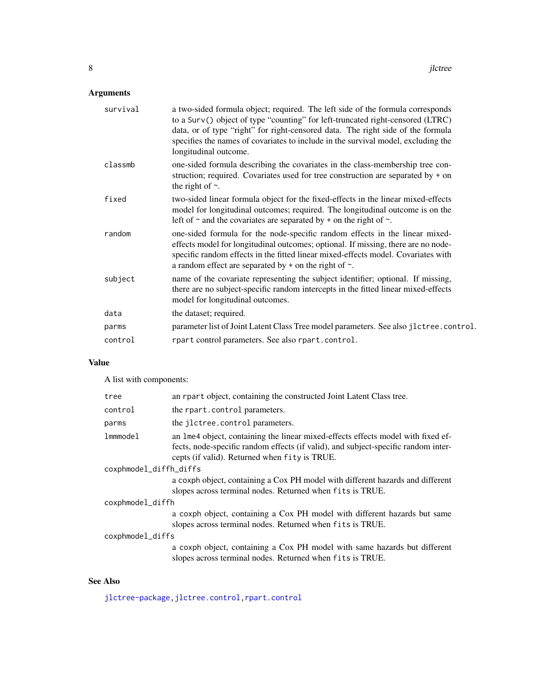## <span id="page-7-0"></span>Arguments

| survival | a two-sided formula object; required. The left side of the formula corresponds<br>to a Surv() object of type "counting" for left-truncated right-censored (LTRC)<br>data, or of type "right" for right-censored data. The right side of the formula<br>specifies the names of covariates to include in the survival model, excluding the<br>longitudinal outcome. |
|----------|-------------------------------------------------------------------------------------------------------------------------------------------------------------------------------------------------------------------------------------------------------------------------------------------------------------------------------------------------------------------|
| classmb  | one-sided formula describing the covariates in the class-membership tree con-<br>struction; required. Covariates used for tree construction are separated by $+$ on<br>the right of $\sim$ .                                                                                                                                                                      |
| fixed    | two-sided linear formula object for the fixed-effects in the linear mixed-effects<br>model for longitudinal outcomes; required. The longitudinal outcome is on the<br>left of $\sim$ and the covariates are separated by + on the right of $\sim$ .                                                                                                               |
| random   | one-sided formula for the node-specific random effects in the linear mixed-<br>effects model for longitudinal outcomes; optional. If missing, there are no node-<br>specific random effects in the fitted linear mixed-effects model. Covariates with<br>a random effect are separated by $+$ on the right of $\sim$ .                                            |
| subject  | name of the covariate representing the subject identifier; optional. If missing,<br>there are no subject-specific random intercepts in the fitted linear mixed-effects<br>model for longitudinal outcomes.                                                                                                                                                        |
| data     | the dataset; required.                                                                                                                                                                                                                                                                                                                                            |
| parms    | parameter list of Joint Latent Class Tree model parameters. See also jlctree.control.                                                                                                                                                                                                                                                                             |
| control  | rpart control parameters. See also rpart.control.                                                                                                                                                                                                                                                                                                                 |

## Value

A list with components:

| tree                   | an rpart object, containing the constructed Joint Latent Class tree.                                                                                                                                                    |  |  |  |  |  |
|------------------------|-------------------------------------------------------------------------------------------------------------------------------------------------------------------------------------------------------------------------|--|--|--|--|--|
| control                | the rpart.control parameters.                                                                                                                                                                                           |  |  |  |  |  |
| parms                  | the jlctree.control parameters.                                                                                                                                                                                         |  |  |  |  |  |
| lmmmode1               | an lme4 object, containing the linear mixed-effects effects model with fixed ef-<br>fects, node-specific random effects (if valid), and subject-specific random inter-<br>cepts (if valid). Returned when fity is TRUE. |  |  |  |  |  |
| coxphmodel_diffh_diffs |                                                                                                                                                                                                                         |  |  |  |  |  |
|                        | a coxph object, containing a Cox PH model with different hazards and different<br>slopes across terminal nodes. Returned when fits is TRUE.                                                                             |  |  |  |  |  |
| coxphmodel_diffh       |                                                                                                                                                                                                                         |  |  |  |  |  |
|                        | a coxph object, containing a Cox PH model with different hazards but same<br>slopes across terminal nodes. Returned when fits is TRUE.                                                                                  |  |  |  |  |  |
|                        | coxphmodel_diffs                                                                                                                                                                                                        |  |  |  |  |  |
|                        | a coxph object, containing a Cox PH model with same hazards but different<br>slopes across terminal nodes. Returned when fits is TRUE.                                                                                  |  |  |  |  |  |

## See Also

[jlctree-package](#page-1-1)[,jlctree.control,](#page-8-1)[rpart.control](#page-0-0)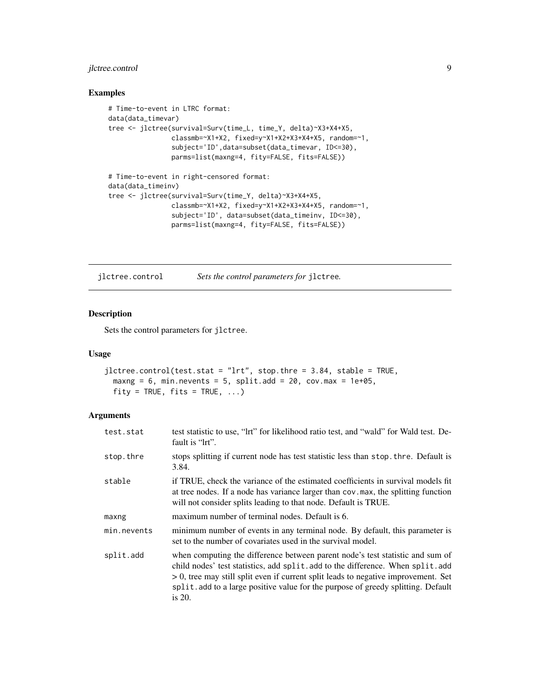## <span id="page-8-0"></span>jlctree.control 9

#### Examples

```
# Time-to-event in LTRC format:
data(data_timevar)
tree <- jlctree(survival=Surv(time_L, time_Y, delta)~X3+X4+X5,
                classmb=~X1+X2, fixed=y~X1+X2+X3+X4+X5, random=~1,
                subject='ID',data=subset(data_timevar, ID<=30),
                parms=list(maxng=4, fity=FALSE, fits=FALSE))
# Time-to-event in right-censored format:
data(data_timeinv)
tree <- jlctree(survival=Surv(time_Y, delta)~X3+X4+X5,
                classmb=~X1+X2, fixed=y~X1+X2+X3+X4+X5, random=~1,
                subject='ID', data=subset(data_timeinv, ID<=30),
                parms=list(maxng=4, fity=FALSE, fits=FALSE))
```
<span id="page-8-1"></span>jlctree.control *Sets the control parameters for* jlctree*.*

## Description

Sets the control parameters for jlctree.

## Usage

```
jlctree.control(test.stat = "lrt", stop.thre = 3.84, stable = TRUE,
 maxng = 6, min.nevents = 5, split.add = 20, cov.max = 1e+05,
 fity = TRUE, fits = TRUE, ...
```
## Arguments

| test.stat   | test statistic to use, "lrt" for likelihood ratio test, and "wald" for Wald test. De-<br>fault is "lrt".                                                                                                                                                                                                                                                  |
|-------------|-----------------------------------------------------------------------------------------------------------------------------------------------------------------------------------------------------------------------------------------------------------------------------------------------------------------------------------------------------------|
| stop.thre   | stops splitting if current node has test statistic less than stop. thre. Default is<br>3.84.                                                                                                                                                                                                                                                              |
| stable      | if TRUE, check the variance of the estimated coefficients in survival models fit<br>at tree nodes. If a node has variance larger than cov. max, the splitting function<br>will not consider splits leading to that node. Default is TRUE.                                                                                                                 |
| maxng       | maximum number of terminal nodes. Default is 6.                                                                                                                                                                                                                                                                                                           |
| min.nevents | minimum number of events in any terminal node. By default, this parameter is<br>set to the number of covariates used in the survival model.                                                                                                                                                                                                               |
| split.add   | when computing the difference between parent node's test statistic and sum of<br>child nodes' test statistics, add split.add to the difference. When split.add<br>$> 0$ , tree may still split even if current split leads to negative improvement. Set<br>split. add to a large positive value for the purpose of greedy splitting. Default<br>is $20$ . |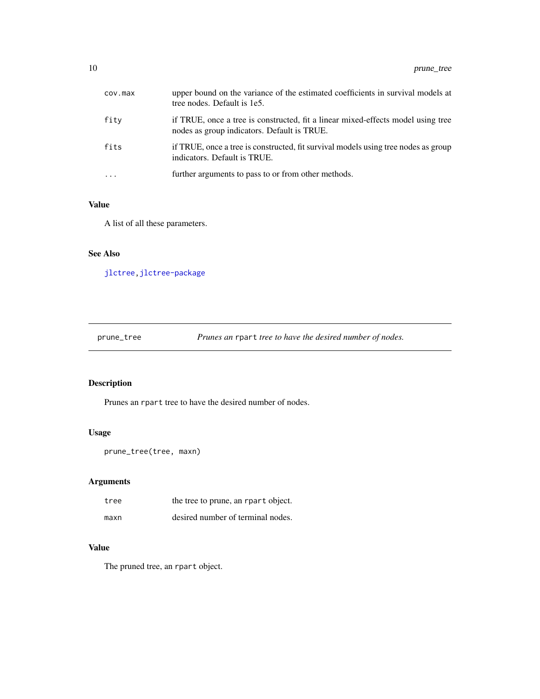<span id="page-9-0"></span>

| cov.max | upper bound on the variance of the estimated coefficients in survival models at<br>tree nodes. Default is 1e5.                  |
|---------|---------------------------------------------------------------------------------------------------------------------------------|
| fity    | if TRUE, once a tree is constructed, fit a linear mixed-effects model using tree<br>nodes as group indicators. Default is TRUE. |
| fits    | if TRUE, once a tree is constructed, fit survival models using tree nodes as group<br>indicators. Default is TRUE.              |
|         | further arguments to pass to or from other methods.                                                                             |

## Value

A list of all these parameters.

## See Also

[jlctree](#page-6-1)[,jlctree-package](#page-1-1)

prune\_tree *Prunes an* rpart *tree to have the desired number of nodes.*

## Description

Prunes an rpart tree to have the desired number of nodes.

## Usage

```
prune_tree(tree, maxn)
```
## Arguments

| tree | the tree to prune, an rpart object. |
|------|-------------------------------------|
| maxn | desired number of terminal nodes.   |

## Value

The pruned tree, an rpart object.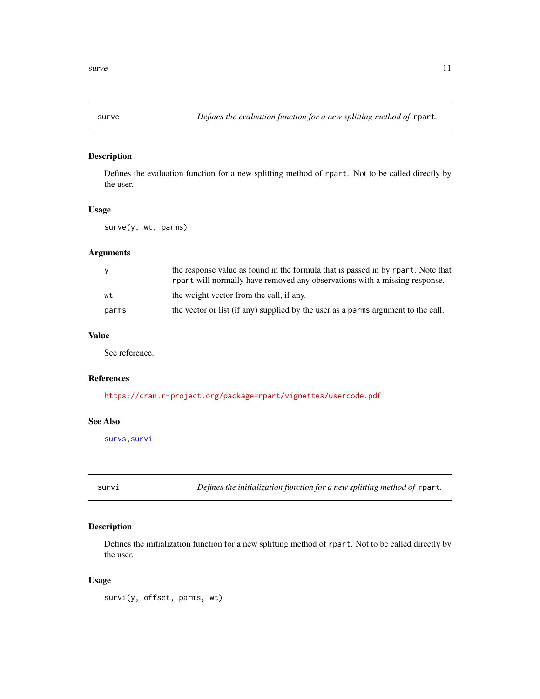<span id="page-10-2"></span><span id="page-10-0"></span>

Defines the evaluation function for a new splitting method of rpart. Not to be called directly by the user.

## Usage

surve(y, wt, parms)

## Arguments

| y     | the response value as found in the formula that is passed in by rpart. Note that<br>report will normally have removed any observations with a missing response. |
|-------|-----------------------------------------------------------------------------------------------------------------------------------------------------------------|
| wt    | the weight vector from the call, if any.                                                                                                                        |
| parms | the vector or list (if any) supplied by the user as a parms argument to the call.                                                                               |

## Value

See reference.

## References

<https://cran.r-project.org/package=rpart/vignettes/usercode.pdf>

## See Also

[survs](#page-11-1)[,survi](#page-10-1)

<span id="page-10-1"></span>survi *Defines the initialization function for a new splitting method of* rpart*.*

## Description

Defines the initialization function for a new splitting method of rpart. Not to be called directly by the user.

## Usage

survi(y, offset, parms, wt)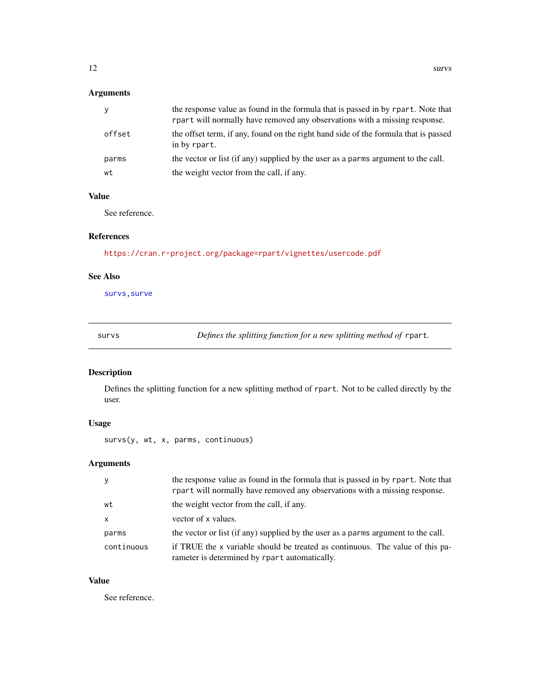## <span id="page-11-0"></span>Arguments

| У      | the response value as found in the formula that is passed in by rpart. Note that<br>rpart will normally have removed any observations with a missing response. |
|--------|----------------------------------------------------------------------------------------------------------------------------------------------------------------|
| offset | the offset term, if any, found on the right hand side of the formula that is passed<br>in by rpart.                                                            |
| parms  | the vector or list (if any) supplied by the user as a parms argument to the call.                                                                              |
| wt     | the weight vector from the call, if any.                                                                                                                       |

## Value

See reference.

## References

<https://cran.r-project.org/package=rpart/vignettes/usercode.pdf>

## See Also

[survs](#page-11-1)[,surve](#page-10-2)

<span id="page-11-1"></span>survs *Defines the splitting function for a new splitting method of* rpart*.*

## Description

Defines the splitting function for a new splitting method of rpart. Not to be called directly by the user.

## Usage

survs(y, wt, x, parms, continuous)

## Arguments

| <b>y</b>     | the response value as found in the formula that is passed in by rpart. Note that<br>rpart will normally have removed any observations with a missing response. |
|--------------|----------------------------------------------------------------------------------------------------------------------------------------------------------------|
| wt           | the weight vector from the call, if any.                                                                                                                       |
| $\mathsf{x}$ | vector of x values.                                                                                                                                            |
| parms        | the vector or list (if any) supplied by the user as a parms argument to the call.                                                                              |
| continuous   | if TRUE the x variable should be treated as continuous. The value of this pa-<br>rameter is determined by rpart automatically.                                 |

## Value

See reference.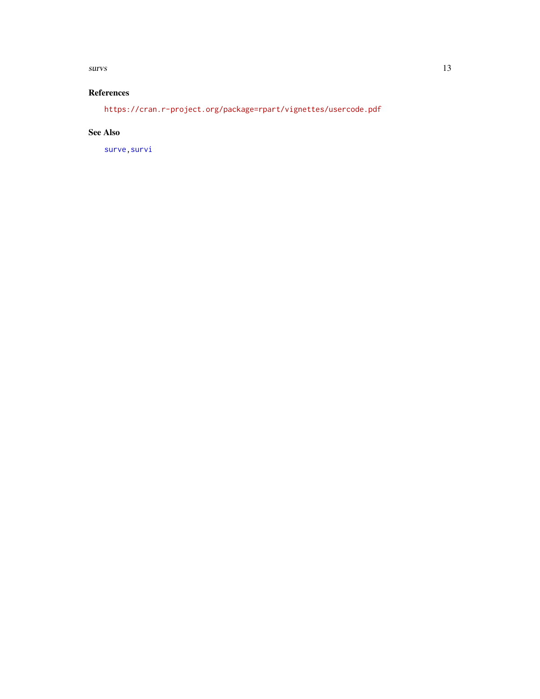#### <span id="page-12-0"></span> $suvv$ s and  $13$

## References

<https://cran.r-project.org/package=rpart/vignettes/usercode.pdf>

## See Also

[surve](#page-10-2)[,survi](#page-10-1)